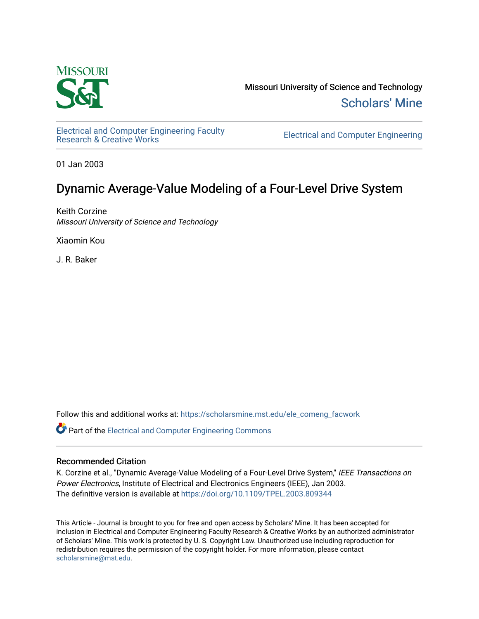

Missouri University of Science and Technology [Scholars' Mine](https://scholarsmine.mst.edu/) 

[Electrical and Computer Engineering Faculty](https://scholarsmine.mst.edu/ele_comeng_facwork)

**Electrical and Computer Engineering** 

01 Jan 2003

## Dynamic Average-Value Modeling of a Four-Level Drive System

Keith Corzine Missouri University of Science and Technology

Xiaomin Kou

J. R. Baker

Follow this and additional works at: [https://scholarsmine.mst.edu/ele\\_comeng\\_facwork](https://scholarsmine.mst.edu/ele_comeng_facwork?utm_source=scholarsmine.mst.edu%2Fele_comeng_facwork%2F986&utm_medium=PDF&utm_campaign=PDFCoverPages)

**P** Part of the Electrical and Computer Engineering Commons

### Recommended Citation

K. Corzine et al., "Dynamic Average-Value Modeling of a Four-Level Drive System," IEEE Transactions on Power Electronics, Institute of Electrical and Electronics Engineers (IEEE), Jan 2003. The definitive version is available at <https://doi.org/10.1109/TPEL.2003.809344>

This Article - Journal is brought to you for free and open access by Scholars' Mine. It has been accepted for inclusion in Electrical and Computer Engineering Faculty Research & Creative Works by an authorized administrator of Scholars' Mine. This work is protected by U. S. Copyright Law. Unauthorized use including reproduction for redistribution requires the permission of the copyright holder. For more information, please contact [scholarsmine@mst.edu.](mailto:scholarsmine@mst.edu)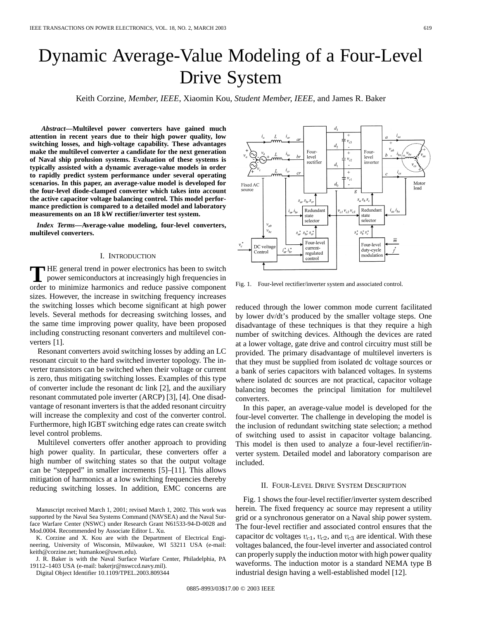# Dynamic Average-Value Modeling of a Four-Level Drive System

Keith Corzine*, Member, IEEE*, Xiaomin Kou*, Student Member, IEEE*, and James R. Baker

*Abstract—***Multilevel power converters have gained much attention in recent years due to their high power quality, low switching losses, and high-voltage capability. These advantages make the multilevel converter a candidate for the next generation of Naval ship prolusion systems. Evaluation of these systems is typically assisted with a dynamic average-value models in order to rapidly predict system performance under several operating scenarios. In this paper, an average-value model is developed for the four-level diode-clamped converter which takes into account the active capacitor voltage balancing control. This model performance prediction is compared to a detailed model and laboratory measurements on an 18 kW rectifier/inverter test system.**

*Index Terms—***Average-value modeling, four-level converters, multilevel converters.**

#### I. INTRODUCTION

**T** HE general trend in power electronics has been to switch power semiconductors at increasingly high frequencies in order to minimize harmonics and reduce passive component sizes. However, the increase in switching frequency increases the switching losses which become significant at high power levels. Several methods for decreasing switching losses, and the same time improving power quality, have been proposed including constructing resonant converters and multilevel converters [1].

Resonant converters avoid switching losses by adding an LC resonant circuit to the hard switched inverter topology. The inverter transistors can be switched when their voltage or current is zero, thus mitigating switching losses. Examples of this type of converter include the resonant dc link [2], and the auxiliary resonant commutated pole inverter (ARCP) [3], [4]. One disadvantage of resonant inverters is that the added resonant circuitry will increase the complexity and cost of the converter control. Furthermore, high IGBT switching edge rates can create switch level control problems.

Multilevel converters offer another approach to providing high power quality. In particular, these converters offer a high number of switching states so that the output voltage can be "stepped" in smaller increments [5]–[11]. This allows mitigation of harmonics at a low switching frequencies thereby reducing switching losses. In addition, EMC concerns are

K. Corzine and X. Kou are with the Department of Electrical Engineering, University of Wisconsin, Milwaukee, WI 53211 USA (e-mail: keith@corzine.net; humankoe@uwm.edu).

J. R. Baker is with the Naval Surface Warfare Center, Philadelphia, PA 19112–1403 USA (e-mail: bakerjr@nswccd.navy.mil).

Digital Object Identifier 10.1109/TPEL.2003.809344

 $d_{\rm 2}$ Four Fourlevel level  $v_{c2}$ rectifier inverter  $d_{1}$  $\hat{i}$ .  $\ddot{+}$  $v_{c}$  $d_0$ Fixed AC load  $\overline{g}$  $S_a S_b S_c$  $S_{\text{cor}} S_{\text{for}} S_{\text{c}}$ Redundant Redundant  $v_{c1}v_{c2}v_{c3}$  $i_{as}$   $i_{bs}$  $i_{ar}$   $i_{br}$ state state selector selector  $v_{al}$  $v_{he}$  $s_{ar}^* s_{br}^* s_{cr}^*$  $s_a^*$   $s_b^*$   $s_c^*$  $\overline{m}$ Four-level Four-level DC voltag current $i_{ar}^*$   $i_{br}^*$ duty-cycle regulated Control modulation control

 $v_{c3}$ 

Fig. 1. Four-level rectifier/inverter system and associated control.

reduced through the lower common mode current facilitated by lower dv/dt's produced by the smaller voltage steps. One disadvantage of these techniques is that they require a high number of switching devices. Although the devices are rated at a lower voltage, gate drive and control circuitry must still be provided. The primary disadvantage of multilevel inverters is that they must be supplied from isolated dc voltage sources or a bank of series capacitors with balanced voltages. In systems where isolated dc sources are not practical, capacitor voltage balancing becomes the principal limitation for multilevel converters.

In this paper, an average-value model is developed for the four-level converter. The challenge in developing the model is the inclusion of redundant switching state selection; a method of switching used to assist in capacitor voltage balancing. This model is then used to analyze a four-level rectifier/inverter system. Detailed model and laboratory comparison are included.

#### II. FOUR-LEVEL DRIVE SYSTEM DESCRIPTION

Fig. 1 shows the four-level rectifier/inverter system described herein. The fixed frequency ac source may represent a utility grid or a synchronous generator on a Naval ship power system. The four-level rectifier and associated control ensures that the capacitor dc voltages  $v_{c1}$ ,  $v_{c2}$ , and  $v_{c3}$  are identical. With these voltages balanced, the four-level inverter and associated control can properly supply the induction motor with high power quality waveforms. The induction motor is a standard NEMA type B industrial design having a well-established model [12].



Manuscript received March 1, 2001; revised March 1, 2002. This work was supported by the Naval Sea Systems Command (NAVSEA) and the Naval Surface Warfare Center (NSWC) under Research Grant N61533-94-D-0028 and Mod.0004. Recommended by Associate Editor L. Xu.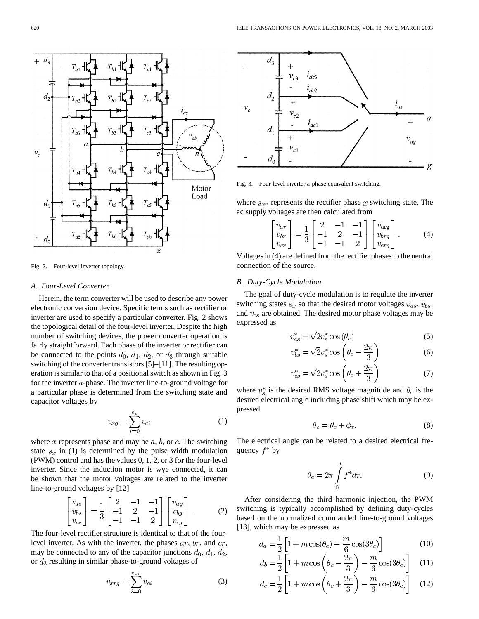

Fig. 2. Four-level inverter topology.

#### *A. Four-Level Converter*

Herein, the term converter will be used to describe any power electronic conversion device. Specific terms such as rectifier or inverter are used to specify a particular converter. Fig. 2 shows the topological detail of the four-level inverter. Despite the high number of switching devices, the power converter operation is fairly straightforward. Each phase of the inverter or rectifier can be connected to the points  $d_0$ ,  $d_1$ ,  $d_2$ , or  $d_3$  through suitable switching of the converter transistors [5]–[11]. The resulting operation is similar to that of a positional switch as shown in Fig. 3 for the inverter  $a$ -phase. The inverter line-to-ground voltage for a particular phase is determined from the switching state and capacitor voltages by

$$
v_{xg} = \sum_{i=0}^{s_x} v_{ci} \tag{1}
$$

where  $x$  represents phase and may be  $a, b,$  or  $c$ . The switching state  $s_x$  in (1) is determined by the pulse width modulation (PWM) control and has the values 0, 1, 2, or 3 for the four-level inverter. Since the induction motor is wye connected, it can be shown that the motor voltages are related to the inverter line-to-ground voltages by [12]

$$
\begin{bmatrix} v_{as} \\ v_{bs} \\ v_{cs} \end{bmatrix} = \frac{1}{3} \begin{bmatrix} 2 & -1 & -1 \\ -1 & 2 & -1 \\ -1 & -1 & 2 \end{bmatrix} \begin{bmatrix} v_{ag} \\ v_{bg} \\ v_{cg} \end{bmatrix}.
$$
 (2)

The four-level rectifier structure is identical to that of the fourlevel inverter. As with the inverter, the phases  $ar, br$ , and  $cr$ , may be connected to any of the capacitor junctions  $d_0, d_1, d_2$ , or  $d_3$  resulting in similar phase-to-ground voltages of

$$
v_{xrg} = \sum_{i=0}^{s_{xr}} v_{ci}
$$
 (3)



Fig. 3. Four-level inverter a-phase equivalent switching.

where  $s_{xr}$  represents the rectifier phase x switching state. The ac supply voltages are then calculated from

$$
\begin{bmatrix} v_{ar} \\ v_{br} \\ v_{cr} \end{bmatrix} = \frac{1}{3} \begin{bmatrix} 2 & -1 & -1 \\ -1 & 2 & -1 \\ -1 & -1 & 2 \end{bmatrix} \begin{bmatrix} v_{\text{arg}} \\ v_{brg} \\ v_{crg} \end{bmatrix} . \tag{4}
$$

Voltages in (4) are defined from the rectifier phases to the neutral connection of the source.

#### *B. Duty-Cycle Modulation*

The goal of duty-cycle modulation is to regulate the inverter switching states  $s_x$  so that the desired motor voltages  $v_{as}$ ,  $v_{bs}$ , and  $v_{cs}$  are obtained. The desired motor phase voltages may be expressed as

$$
v_{as}^* = \sqrt{2}v_s^* \cos(\theta_c) \tag{5}
$$

$$
v_{bs}^* = \sqrt{2}v_s^* \cos\left(\theta_c - \frac{2\pi}{3}\right) \tag{6}
$$

$$
v_{cs}^* = \sqrt{2}v_s^* \cos\left(\theta_c + \frac{2\pi}{3}\right) \tag{7}
$$

where  $v_s^*$  is the desired RMS voltage magnitude and  $\theta_c$  is the desired electrical angle including phase shift which may be expressed

$$
\theta_c = \theta_c + \phi_v. \tag{8}
$$

The electrical angle can be related to a desired electrical frequency  $f^*$  by

$$
\theta_e = 2\pi \int_0^t f^* d\tau.
$$
\n(9)

After considering the third harmonic injection, the PWM switching is typically accomplished by defining duty-cycles based on the normalized commanded line-to-ground voltages [13], which may be expressed as

$$
d_a = \frac{1}{2} \left[ 1 + m \cos(\theta_c) - \frac{m}{6} \cos(3\theta_c) \right]
$$
 (10)

$$
d_b = \frac{1}{2} \left[ 1 + m \cos \left( \theta_c - \frac{2\pi}{3} \right) - \frac{m}{6} \cos(3\theta_c) \right] \tag{11}
$$

$$
d_c = \frac{1}{2} \left[ 1 + m \cos \left( \theta_c + \frac{2\pi}{3} \right) - \frac{m}{6} \cos(3\theta_c) \right]
$$
 (12)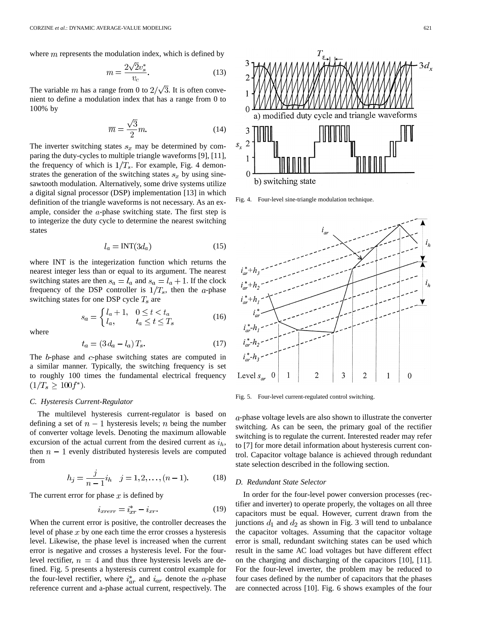where  $m$  represents the modulation index, which is defined by

$$
m = \frac{2\sqrt{2}v_s^*}{v_c}.\tag{13}
$$

The variable m has a range from 0 to  $2/\sqrt{3}$ . It is often convenient to define a modulation index that has a range from 0 to 100% by

$$
\overline{m} = \frac{\sqrt{3}}{2}m.
$$
 (14)

The inverter switching states  $s_x$  may be determined by comparing the duty-cycles to multiple triangle waveforms [9], [11], the frequency of which is  $1/T_s$ . For example, Fig. 4 demonstrates the generation of the switching states  $s_x$  by using sinesawtooth modulation. Alternatively, some drive systems utilize a digital signal processor (DSP) implementation [13] in which definition of the triangle waveforms is not necessary. As an example, consider the  $a$ -phase switching state. The first step is to integerize the duty cycle to determine the nearest switching states

$$
l_a = \text{INT}(3d_a) \tag{15}
$$

where INT is the integerization function which returns the nearest integer less than or equal to its argument. The nearest switching states are then  $s_a = l_a$  and  $s_a = l_a + 1$ . If the clock frequency of the DSP controller is  $1/T_s$ , then the a-phase switching states for one DSP cycle  $T_s$  are

$$
s_a = \begin{cases} l_a + 1, & 0 \le t < t_a \\ l_a, & t_a \le t \le T_s \end{cases} \tag{16}
$$

where

$$
t_a = (3 d_a - l_a) T_s. \tag{17}
$$

The  $b$ -phase and  $c$ -phase switching states are computed in a similar manner. Typically, the switching frequency is set to roughly 100 times the fundamental electrical frequency  $(1/T_s \ge 100f^*).$ 

#### *C. Hysteresis Current-Regulator*

The multilevel hysteresis current-regulator is based on defining a set of  $n-1$  hysteresis levels; n being the number of converter voltage levels. Denoting the maximum allowable excursion of the actual current from the desired current as  $i_h$ , then  $n-1$  evenly distributed hysteresis levels are computed from

$$
h_j = \frac{j}{n-1} i_h \quad j = 1, 2, \dots, (n-1). \tag{18}
$$

The current error for phase  $x$  is defined by

$$
i_{xrerr} = i_{xr}^* - i_{xr}.\tag{19}
$$

When the current error is positive, the controller decreases the level of phase  $x$  by one each time the error crosses a hysteresis level. Likewise, the phase level is increased when the current error is negative and crosses a hysteresis level. For the fourlevel rectifier,  $n = 4$  and thus three hysteresis levels are defined. Fig. 5 presents a hysteresis current control example for the four-level rectifier, where  $i_{ar}^*$  and  $i_{ar}$  denote the a-phase reference current and a-phase actual current, respectively. The



Fig. 4. Four-level sine-triangle modulation technique.



Fig. 5. Four-level current-regulated control switching.

-phase voltage levels are also shown to illustrate the converter switching. As can be seen, the primary goal of the rectifier switching is to regulate the current. Interested reader may refer to [7] for more detail information about hysteresis current control. Capacitor voltage balance is achieved through redundant state selection described in the following section.

#### *D. Redundant State Selector*

In order for the four-level power conversion processes (rectifier and inverter) to operate properly, the voltages on all three capacitors must be equal. However, current drawn from the junctions  $d_1$  and  $d_2$  as shown in Fig. 3 will tend to unbalance the capacitor voltages. Assuming that the capacitor voltage error is small, redundant switching states can be used which result in the same AC load voltages but have different effect on the charging and discharging of the capacitors [10], [11]. For the four-level inverter, the problem may be reduced to four cases defined by the number of capacitors that the phases are connected across [10]. Fig. 6 shows examples of the four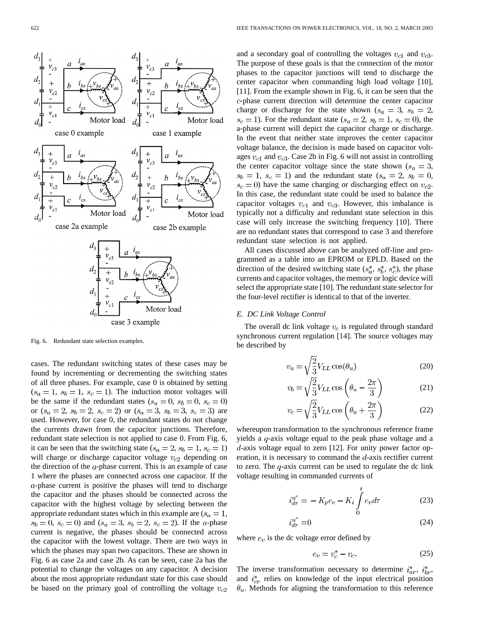

Fig. 6. Redundant state selection examples.

cases. The redundant switching states of these cases may be found by incrementing or decrementing the switching states of all three phases. For example, case 0 is obtained by setting  $(s_a = 1, s_b = 1, s_c = 1)$ . The induction motor voltages will be the same if the redundant states  $(s_a = 0, s_b = 0, s_c = 0)$ or  $(s_a = 2, s_b = 2, s_c = 2)$  or  $(s_a = 3, s_b = 3, s_c = 3)$  are used. However, for case 0, the redundant states do not change the currents drawn from the capacitor junctions. Therefore, redundant state selection is not applied to case 0. From Fig. 6, it can be seen that the switching state ( $s_a = 2$ ,  $s_b = 1$ ,  $s_c = 1$ ) will charge or discharge capacitor voltage  $v_{c2}$  depending on the direction of the  $a$ -phase current. This is an example of case 1 where the phases are connected across one capacitor. If the  $a$ -phase current is positive the phases will tend to discharge the capacitor and the phases should be connected across the capacitor with the highest voltage by selecting between the appropriate redundant states which in this example are  $(s_a = 1,$  $s_b = 0$ ,  $s_c = 0$ ) and  $(s_a = 3, s_b = 2, s_c = 2)$ . If the *a*-phase current is negative, the phases should be connected across the capacitor with the lowest voltage. There are two ways in which the phases may span two capacitors. These are shown in Fig. 6 as case 2a and case 2b. As can be seen, case 2a has the potential to change the voltages on any capacitor. A decision about the most appropriate redundant state for this case should be based on the primary goal of controlling the voltage  $v_{c2}$  and a secondary goal of controlling the voltages  $v_{c1}$  and  $v_{c3}$ . The purpose of these goals is that the connection of the motor phases to the capacitor junctions will tend to discharge the center capacitor when commanding high load voltage [10], [11]. From the example shown in Fig. 6, it can be seen that the -phase current direction will determine the center capacitor charge or discharge for the state shown ( $s_a = 3$ ,  $s_b = 2$ ,  $s_c = 1$ ). For the redundant state ( $s_a = 2$ ,  $s_b = 1$ ,  $s_c = 0$ ), the a-phase current will depict the capacitor charge or discharge. In the event that neither state improves the center capacitor voltage balance, the decision is made based on capacitor voltages  $v_{c1}$  and  $v_{c3}$ . Case 2b in Fig. 6 will not assist in controlling the center capacitor voltage since the state shown ( $s_a = 3$ ,  $s_b = 1$ ,  $s_c = 1$ ) and the redundant state  $(s_a = 2, s_b = 0,$  $s_c = 0$ ) have the same charging or discharging effect on  $v_{c2}$ . In this case, the redundant state could be used to balance the capacitor voltages  $v_{c1}$  and  $v_{c3}$ . However, this imbalance is typically not a difficulty and redundant state selection in this case will only increase the switching frequency [10]. There are no redundant states that correspond to case 3 and therefore redundant state selection is not applied.

All cases discussed above can be analyzed off-line and programmed as a table into an EPROM or EPLD. Based on the direction of the desired switching state  $(s_a^*, s_b^*, s_c^*)$ , the phase currents and capacitor voltages, the memory or logic device will select the appropriate state [10]. The redundant state selector for the four-level rectifier is identical to that of the inverter.

#### *E. DC Link Voltage Control*

The overall dc link voltage  $v_c$  is regulated through standard synchronous current regulation [14]. The source voltages may be described by

$$
v_a = \sqrt{\frac{2}{3}} V_{LL} \cos(\theta_u) \tag{20}
$$

$$
v_b = \sqrt{\frac{2}{3} V_{LL} \cos \left(\theta_u - \frac{2\pi}{3}\right)}\tag{21}
$$

$$
v_c = \sqrt{\frac{2}{3}} V_{LL} \cos\left(\theta_u + \frac{2\pi}{3}\right) \tag{22}
$$

whereupon transformation to the synchronous reference frame yields a  $q$ -axis voltage equal to the peak phase voltage and a  $d$ -axis voltage equal to zero [12]. For unity power factor operation, it is necessary to command the  $d$ -axis rectifier current to zero. The  $q$ -axis current can be used to regulate the dc link voltage resulting in commanded currents of

$$
i_{dr}^{u^*} = -K_p e_v - K_i \int_0^t e_v d\tau \tag{23}
$$

$$
i_{dr}^{u^*} = 0 \tag{24}
$$

where  $e_v$  is the dc voltage error defined by

$$
e_v = v_c^* - v_c. \tag{25}
$$

The inverse transformation necessary to determine  $i_{ar}^*$ ,  $i_{br}^*$ , and  $i_{cr}^*$  relies on knowledge of the input electrical position  $\theta_u$ . Methods for aligning the transformation to this reference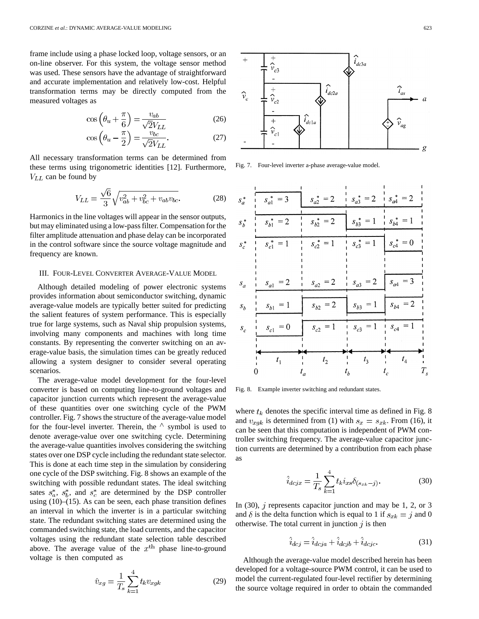frame include using a phase locked loop, voltage sensors, or an on-line observer. For this system, the voltage sensor method was used. These sensors have the advantage of straightforward and accurate implementation and relatively low-cost. Helpful transformation terms may be directly computed from the measured voltages as

$$
\cos\left(\theta_u + \frac{\pi}{6}\right) = \frac{v_{ab}}{\sqrt{2}V_{LL}}\tag{26}
$$

$$
\cos\left(\theta_u - \frac{\pi}{2}\right) = \frac{v_{bc}}{\sqrt{2}V_{LL}}.\tag{27}
$$

All necessary transformation terms can be determined from these terms using trigonometric identities [12]. Furthermore,  $V_{LL}$  can be found by

$$
V_{LL} = \frac{\sqrt{6}}{3} \sqrt{v_{ab}^2 + v_{bc}^2 + v_{ab}v_{bc}}.
$$
 (28)

Harmonics in the line voltages will appear in the sensor outputs, but may eliminated using a low-pass filter. Compensation for the filter amplitude attenuation and phase delay can be incorporated in the control software since the source voltage magnitude and frequency are known.

#### III. FOUR-LEVEL CONVERTER AVERAGE-VALUE MODEL

Although detailed modeling of power electronic systems provides information about semiconductor switching, dynamic average-value models are typically better suited for predicting the salient features of system performance. This is especially true for large systems, such as Naval ship propulsion systems, involving many components and machines with long time constants. By representing the converter switching on an average-value basis, the simulation times can be greatly reduced allowing a system designer to consider several operating scenarios.

The average-value model development for the four-level converter is based on computing line-to-ground voltages and capacitor junction currents which represent the average-value of these quantities over one switching cycle of the PWM controller. Fig. 7 shows the structure of the average-value model for the four-level inverter. Therein, the  $\wedge$  symbol is used to denote average-value over one switching cycle. Determining the average-value quantities involves considering the switching states over one DSP cycle including the redundant state selector. This is done at each time step in the simulation by considering one cycle of the DSP switching. Fig. 8 shows an example of the switching with possible redundant states. The ideal switching sates  $s_a^*$ ,  $s_b^*$ , and  $s_c^*$  are determined by the DSP controller using (10)–(15). As can be seen, each phase transition defines an interval in which the inverter is in a particular switching state. The redundant switching states are determined using the commanded switching state, the load currents, and the capacitor voltages using the redundant state selection table described above. The average value of the  $x<sup>th</sup>$  phase line-to-ground voltage is then computed as

$$
\hat{v}_{xg} = \frac{1}{T_s} \sum_{k=1}^{4} t_k v_{xgk}
$$
\n(29)



Fig. 7. Four-level inverter a-phase average-value model.

| $s_a^*$            | $s_{a1}^* = 3$ | $s_{a2}^* = 2$ | $s_{a3}^* = 2$ | $s_{a4}^* = 2$      |
|--------------------|----------------|----------------|----------------|---------------------|
|                    |                |                |                |                     |
| $s_b^*$            | $s_{b1}^* = 2$ | $s_{b2}^* = 2$ | $s_{b3}^* = 1$ | $s_{b4}^* = 1$<br>Ï |
|                    |                |                |                |                     |
| $s_c^*$            | $s_{c1}^* = 1$ | $s_{c2}^* = 1$ | $s_{c3}^* = 1$ | $s_{c4}^* = 0$      |
|                    |                |                |                |                     |
|                    |                |                |                |                     |
|                    |                |                |                |                     |
| $\boldsymbol{s}_a$ | $s_{a1}\!=\!2$ | $s_{a2} = 2$   | $s_{a3} = 2$   | $s_{a4} = 3$        |
|                    |                |                |                |                     |
| $s_b$              | $s_{b1} = 1$   | $s_{b2} = 2$   | $s_{b3} = 1$   | $s_{b4}\,=2$        |
|                    |                |                |                |                     |
| $\boldsymbol{s}_c$ | $s_{c1}\,=0$   | $s_{c2} = 1$   | $s_{c3} = 1$   | $s_{c4} = 1$        |
|                    |                |                |                |                     |
|                    |                |                |                |                     |
|                    | $t_{1}$        | t <sub>2</sub> | $t_{3}$        | $t_4\,$             |
|                    |                | $\iota_a$      | $\mathbf{b}$   | $\iota_c$           |

Fig. 8. Example inverter switching and redundant states.

where  $t_k$  denotes the specific interval time as defined in Fig. 8 and  $v_{xgk}$  is determined from (1) with  $s_x = s_{xk}$ . From (16), it can be seen that this computation is independent of PWM controller switching frequency. The average-value capacitor junction currents are determined by a contribution from each phase as

$$
\hat{i}_{dcjx} = \frac{1}{T_s} \sum_{k=1}^{4} t_k i_{xs} \delta_{(s_{xk} - j)}.
$$
\n(30)

In (30),  $j$  represents capacitor junction and may be 1, 2, or 3 and  $\delta$  is the delta function which is equal to 1 if  $s_{x_k} = j$  and 0 otherwise. The total current in junction  $j$  is then

$$
\hat{i}_{dcj} = \hat{i}_{dcja} + \hat{i}_{dcjb} + \hat{i}_{dcjc}.
$$
\n(31)

Although the average-value model described herein has been developed for a voltage-source PWM control, it can be used to model the current-regulated four-level rectifier by determining the source voltage required in order to obtain the commanded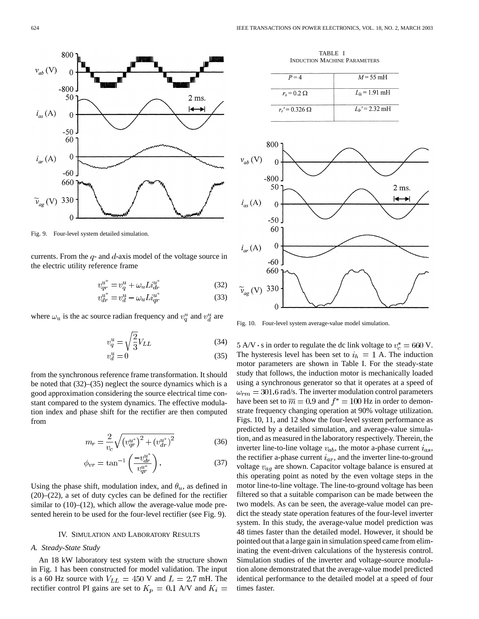

Fig. 9. Four-level system detailed simulation.

currents. From the  $q$ - and  $d$ -axis model of the voltage source in the electric utility reference frame

$$
v_{qr}^{u^*} = v_q^u + \omega_u L i_{dr}^{u^*}
$$
\n
$$
(32)
$$

$$
v_{dr}^{u^*} = v_d^u - \omega_u L i_{qr}^{u^*}
$$
\n
$$
(33)
$$

where  $\omega_u$  is the ac source radian frequency and  $v_q^u$  and  $v_d^u$  are

$$
v_q^u = \sqrt{\frac{2}{3}} V_{LL} \tag{34}
$$

$$
v_d^u = 0\tag{35}
$$

from the synchronous reference frame transformation. It should be noted that (32)–(35) neglect the source dynamics which is a good approximation considering the source electrical time constant compared to the system dynamics. The effective modulation index and phase shift for the rectifier are then computed from

$$
m_r = \frac{2}{v_c} \sqrt{\left(v_{qr}^{u^*}\right)^2 + \left(v_{dr}^{u^*}\right)^2} \tag{36}
$$

$$
\phi_{vr} = \tan^{-1}\left(\frac{-v_{dr}^{u^*}}{v_{qr}^{u^*}}\right). \tag{37}
$$

Using the phase shift, modulation index, and  $\theta_u$ , as defined in (20)–(22), a set of duty cycles can be defined for the rectifier similar to  $(10)$ – $(12)$ , which allow the average-value mode presented herein to be used for the four-level rectifier (see Fig. 9).

#### IV. SIMULATION AND LABORATORY RESULTS

#### *A. Steady-State Study*

An 18 kW laboratory test system with the structure shown in Fig. 1 has been constructed for model validation. The input is a 60 Hz source with  $V_{LL} = 450$  V and  $L = 2.7$  mH. The rectifier control PI gains are set to  $K_p = 0.1$  A/V and  $K_i =$ 

TABLE I INDUCTION MACHINE PARAMETERS

| $P = 4$               | $M = 55$ mH         |
|-----------------------|---------------------|
| $r_s = 0.2 \Omega$    | $L_{ls}$ = 1.91 mH  |
| $r_r' = 0.326 \Omega$ | $L_{h}$ ' = 2.32 mH |



Fig. 10. Four-level system average-value model simulation.

 $5 \text{ A/V} \cdot \text{s}$  in order to regulate the dc link voltage to  $v_c^* = 660 \text{ V}$ . The hysteresis level has been set to  $i_h = 1$  A. The induction motor parameters are shown in Table I. For the steady-state study that follows, the induction motor is mechanically loaded using a synchronous generator so that it operates at a speed of  $\omega_{rm} = 301.6$  rad/s. The inverter modulation control parameters have been set to  $\overline{m} = 0.9$  and  $f^* = 100$  Hz in order to demonstrate frequency changing operation at 90% voltage utilization. Figs. 10, 11, and 12 show the four-level system performance as predicted by a detailed simulation, and average-value simulation, and as measured in the laboratory respectively. Therein, the inverter line-to-line voltage  $v_{ab}$ , the motor a-phase current  $i_{as}$ , the rectifier a-phase current  $i_{ar}$ , and the inverter line-to-ground voltage  $v_{aq}$  are shown. Capacitor voltage balance is ensured at this operating point as noted by the even voltage steps in the motor line-to-line voltage. The line-to-ground voltage has been filtered so that a suitable comparison can be made between the two models. As can be seen, the average-value model can predict the steady state operation features of the four-level inverter system. In this study, the average-value model prediction was 48 times faster than the detailed model. However, it should be pointed out that a large gain in simulation speed came from eliminating the event-driven calculations of the hysteresis control. Simulation studies of the inverter and voltage-source modulation alone demonstrated that the average-value model predicted identical performance to the detailed model at a speed of four times faster.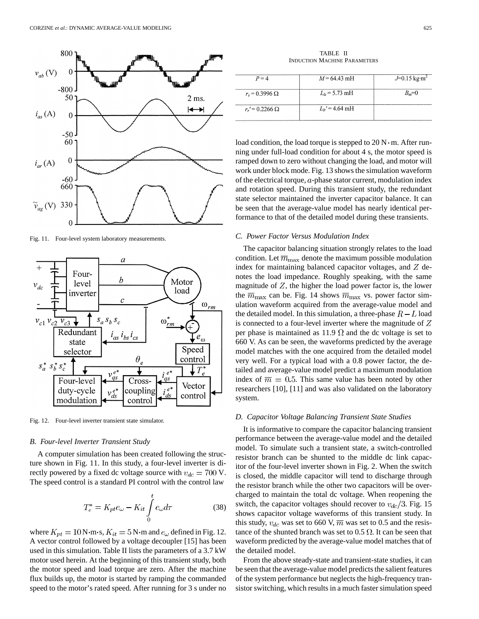

Fig. 11. Four-level system laboratory measurements.



Fig. 12. Four-level inverter transient state simulator.

#### *B. Four-level Inverter Transient Study*

A computer simulation has been created following the structure shown in Fig. 11. In this study, a four-level inverter is directly powered by a fixed dc voltage source with  $v_{dc} = 700$  V. The speed control is a standard PI control with the control law

$$
T_e^* = K_{pt}e_\omega - K_{it}\int_0^t e_\omega d\tau \tag{38}
$$

where  $K_{pt} = 10 \text{ N} \cdot \text{m} \cdot \text{s}$ ,  $K_{it} = 5 \text{ N} \cdot \text{m}$  and  $e_{\omega}$  defined in Fig. 12. A vector control followed by a voltage decoupler [15] has been used in this simulation. Table II lists the parameters of a 3.7 kW motor used herein. At the beginning of this transient study, both the motor speed and load torque are zero. After the machine flux builds up, the motor is started by ramping the commanded speed to the motor's rated speed. After running for 3 s under no

TABLE II INDUCTION MACHINE PARAMETERS

| $P = 4$                 | $M = 64.43 \text{ mH}$ | $J=0.15$ kg $\cdot$ m <sup>2</sup> |
|-------------------------|------------------------|------------------------------------|
| $r_{s} = 0.3996 \Omega$ | $L_{ls}$ = 5.73 mH     | $B_m=0$                            |
| $r_r' = 0.2266 \Omega$  | $L_{h}$ ' = 4.64 mH    |                                    |

load condition, the load torque is stepped to  $20 \text{ N} \cdot \text{m}$ . After running under full-load condition for about 4 s, the motor speed is ramped down to zero without changing the load, and motor will work under block mode. Fig. 13 shows the simulation waveform of the electrical torque,  $a$ -phase stator current, modulation index and rotation speed. During this transient study, the redundant state selector maintained the inverter capacitor balance. It can be seen that the average-value model has nearly identical performance to that of the detailed model during these transients.

#### *C. Power Factor Versus Modulation Index*

The capacitor balancing situation strongly relates to the load condition. Let  $\overline{m}_{\text{max}}$  denote the maximum possible modulation index for maintaining balanced capacitor voltages, and  $Z$  denotes the load impedance. Roughly speaking, with the same magnitude of  $Z$ , the higher the load power factor is, the lower the  $\overline{m}_{\text{max}}$  can be. Fig. 14 shows  $\overline{m}_{\text{max}}$  vs. power factor simulation waveform acquired from the average-value model and the detailed model. In this simulation, a three-phase  $R - L$  load is connected to a four-level inverter where the magnitude of  $Z$ per phase is maintained as 11.9  $\Omega$  and the dc voltage is set to 660 V. As can be seen, the waveforms predicted by the average model matches with the one acquired from the detailed model very well. For a typical load with a 0.8 power factor, the detailed and average-value model predict a maximum modulation index of  $\overline{m} = 0.5$ . This same value has been noted by other researchers [10], [11] and was also validated on the laboratory system.

#### *D. Capacitor Voltage Balancing Transient State Studies*

It is informative to compare the capacitor balancing transient performance between the average-value model and the detailed model. To simulate such a transient state, a switch-controlled resistor branch can be shunted to the middle dc link capacitor of the four-level inverter shown in Fig. 2. When the switch is closed, the middle capacitor will tend to discharge through the resistor branch while the other two capacitors will be overcharged to maintain the total dc voltage. When reopening the switch, the capacitor voltages should recover to  $v_{dc}/3$ . Fig. 15 shows capacitor voltage waveforms of this transient study. In this study,  $v_{dc}$  was set to 660 V,  $\overline{m}$  was set to 0.5 and the resistance of the shunted branch was set to 0.5  $\Omega$ . It can be seen that waveform predicted by the average-value model matches that of the detailed model.

From the above steady-state and transient-state studies, it can be seen that the average-value model predicts the salient features of the system performance but neglects the high-frequency transistor switching, which results in a much faster simulation speed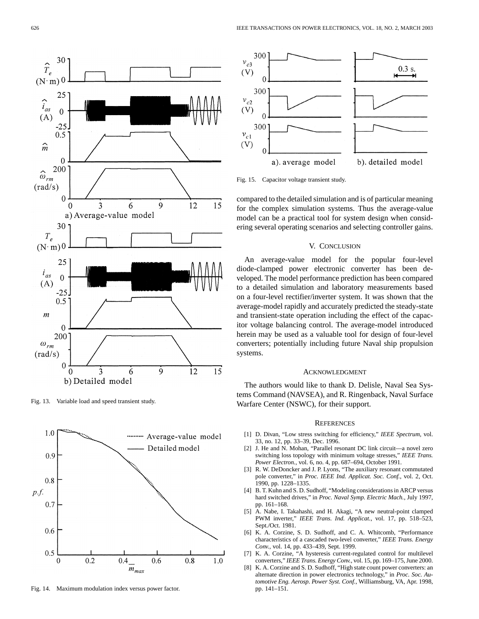

Fig. 13. Variable load and speed transient study.



Fig. 14. Maximum modulation index versus power factor.



Fig. 15. Capacitor voltage transient study.

compared to the detailed simulation and is of particular meaning for the complex simulation systems. Thus the average-value model can be a practical tool for system design when considering several operating scenarios and selecting controller gains.

#### V. CONCLUSION

An average-value model for the popular four-level diode-clamped power electronic converter has been developed. The model performance prediction has been compared to a detailed simulation and laboratory measurements based on a four-level rectifier/inverter system. It was shown that the average-model rapidly and accurately predicted the steady-state and transient-state operation including the effect of the capacitor voltage balancing control. The average-model introduced herein may be used as a valuable tool for design of four-level converters; potentially including future Naval ship propulsion systems.

#### ACKNOWLEDGMENT

The authors would like to thank D. Delisle, Naval Sea Systems Command (NAVSEA), and R. Ringenback, Naval Surface Warfare Center (NSWC), for their support.

#### **REFERENCES**

- [1] D. Divan, "Low stress switching for efficiency," *IEEE Spectrum*, vol. 33, no. 12, pp. 33–39, Dec. 1996.
- [2] J. He and N. Mohan, "Parallel resonant DC link circuit—a novel zero switching loss topology with minimum voltage stresses," *IEEE Trans. Power Electron.*, vol. 6, no. 4, pp. 687–694, October 1991.
- [3] R. W. DeDoncker and J. P. Lyons, "The auxiliary resonant commutated pole converter," in *Proc. IEEE Ind. Applicat. Soc. Conf.*, vol. 2, Oct. 1990, pp. 1228–1335.
- [4] B. T. Kuhn and S. D. Sudhoff, "Modeling considerations in ARCP versus hard switched drives," in *Proc. Naval Symp. Electric Mach.*, July 1997, pp. 161–168.
- [5] A. Nabe, I. Takahashi, and H. Akagi, "A new neutral-point clamped PWM inverter," *IEEE Trans. Ind. Applicat.*, vol. 17, pp. 518–523, Sept./Oct. 1981.
- [6] K. A. Corzine, S. D. Sudhoff, and C. A. Whitcomb, "Performance characteristics of a cascaded two-level converter," *IEEE Trans. Energy Conv.*, vol. 14, pp. 433–439, Sept. 1999.
- [7] K. A. Corzine, "A hysteresis current-regulated control for multilevel converters," *IEEE Trans. Energy Conv.*, vol. 15, pp. 169–175, June 2000.
- [8] K. A. Corzine and S. D. Sudhoff, "High state count power converters: an alternate direction in power electronics technology," in *Proc. Soc. Automotive Eng. Aerosp. Power Syst. Conf.*, Williamsburg, VA, Apr. 1998, pp. 141–151.